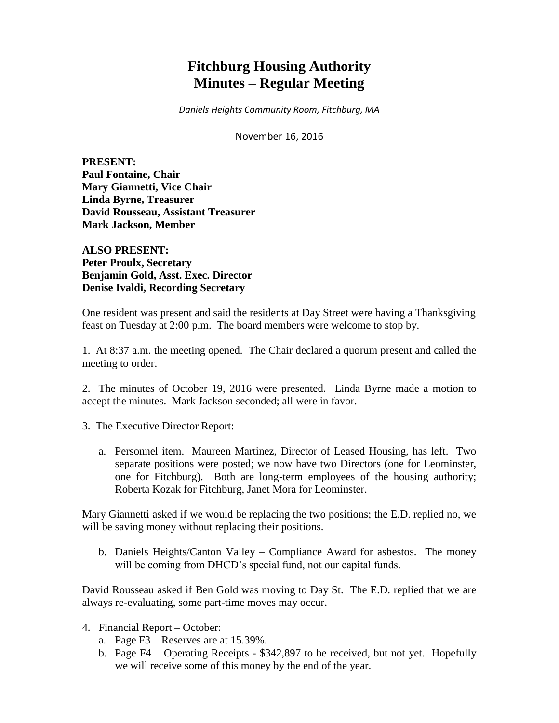# **Fitchburg Housing Authority Minutes – Regular Meeting**

*Daniels Heights Community Room, Fitchburg, MA*

November 16, 2016

**PRESENT: Paul Fontaine, Chair Mary Giannetti, Vice Chair Linda Byrne, Treasurer David Rousseau, Assistant Treasurer Mark Jackson, Member**

**ALSO PRESENT: Peter Proulx, Secretary Benjamin Gold, Asst. Exec. Director Denise Ivaldi, Recording Secretary**

One resident was present and said the residents at Day Street were having a Thanksgiving feast on Tuesday at 2:00 p.m. The board members were welcome to stop by.

1. At 8:37 a.m. the meeting opened. The Chair declared a quorum present and called the meeting to order.

2. The minutes of October 19, 2016 were presented. Linda Byrne made a motion to accept the minutes. Mark Jackson seconded; all were in favor.

3. The Executive Director Report:

a. Personnel item. Maureen Martinez, Director of Leased Housing, has left. Two separate positions were posted; we now have two Directors (one for Leominster, one for Fitchburg). Both are long-term employees of the housing authority; Roberta Kozak for Fitchburg, Janet Mora for Leominster.

Mary Giannetti asked if we would be replacing the two positions; the E.D. replied no, we will be saving money without replacing their positions.

b. Daniels Heights/Canton Valley – Compliance Award for asbestos. The money will be coming from DHCD's special fund, not our capital funds.

David Rousseau asked if Ben Gold was moving to Day St. The E.D. replied that we are always re-evaluating, some part-time moves may occur.

- 4. Financial Report October:
	- a. Page F3 Reserves are at 15.39%.
	- b. Page F4 Operating Receipts \$342,897 to be received, but not yet. Hopefully we will receive some of this money by the end of the year.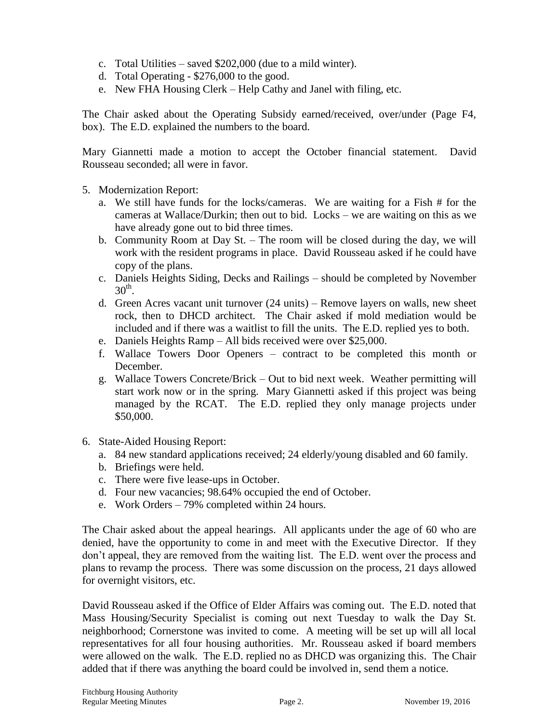- c. Total Utilities saved \$202,000 (due to a mild winter).
- d. Total Operating \$276,000 to the good.
- e. New FHA Housing Clerk Help Cathy and Janel with filing, etc.

The Chair asked about the Operating Subsidy earned/received, over/under (Page F4, box). The E.D. explained the numbers to the board.

Mary Giannetti made a motion to accept the October financial statement. David Rousseau seconded; all were in favor.

- 5. Modernization Report:
	- a. We still have funds for the locks/cameras. We are waiting for a Fish # for the cameras at Wallace/Durkin; then out to bid. Locks – we are waiting on this as we have already gone out to bid three times.
	- b. Community Room at Day St. The room will be closed during the day, we will work with the resident programs in place. David Rousseau asked if he could have copy of the plans.
	- c. Daniels Heights Siding, Decks and Railings should be completed by November  $30<sup>th</sup>$ .
	- d. Green Acres vacant unit turnover (24 units) Remove layers on walls, new sheet rock, then to DHCD architect. The Chair asked if mold mediation would be included and if there was a waitlist to fill the units. The E.D. replied yes to both.
	- e. Daniels Heights Ramp All bids received were over \$25,000.
	- f. Wallace Towers Door Openers contract to be completed this month or December.
	- g. Wallace Towers Concrete/Brick Out to bid next week. Weather permitting will start work now or in the spring. Mary Giannetti asked if this project was being managed by the RCAT. The E.D. replied they only manage projects under \$50,000.
- 6. State-Aided Housing Report:
	- a. 84 new standard applications received; 24 elderly/young disabled and 60 family.
	- b. Briefings were held.
	- c. There were five lease-ups in October.
	- d. Four new vacancies; 98.64% occupied the end of October.
	- e. Work Orders 79% completed within 24 hours.

The Chair asked about the appeal hearings. All applicants under the age of 60 who are denied, have the opportunity to come in and meet with the Executive Director. If they don't appeal, they are removed from the waiting list. The E.D. went over the process and plans to revamp the process. There was some discussion on the process, 21 days allowed for overnight visitors, etc.

David Rousseau asked if the Office of Elder Affairs was coming out. The E.D. noted that Mass Housing/Security Specialist is coming out next Tuesday to walk the Day St. neighborhood; Cornerstone was invited to come. A meeting will be set up will all local representatives for all four housing authorities. Mr. Rousseau asked if board members were allowed on the walk. The E.D. replied no as DHCD was organizing this. The Chair added that if there was anything the board could be involved in, send them a notice.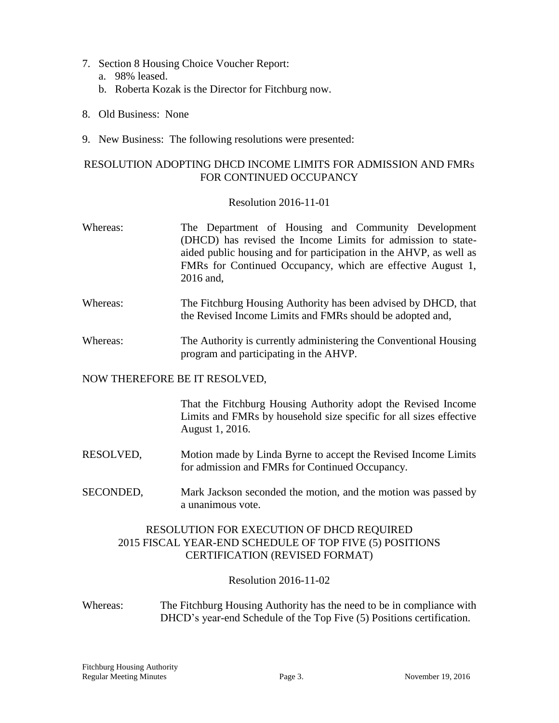- 7. Section 8 Housing Choice Voucher Report:
	- a. 98% leased.
	- b. Roberta Kozak is the Director for Fitchburg now.
- 8. Old Business: None
- 9. New Business: The following resolutions were presented:

## RESOLUTION ADOPTING DHCD INCOME LIMITS FOR ADMISSION AND FMRs FOR CONTINUED OCCUPANCY

## Resolution 2016-11-01

- Whereas: The Department of Housing and Community Development (DHCD) has revised the Income Limits for admission to stateaided public housing and for participation in the AHVP, as well as FMRs for Continued Occupancy, which are effective August 1, 2016 and,
- Whereas: The Fitchburg Housing Authority has been advised by DHCD, that the Revised Income Limits and FMRs should be adopted and,
- Whereas: The Authority is currently administering the Conventional Housing program and participating in the AHVP.

### NOW THEREFORE BE IT RESOLVED,

That the Fitchburg Housing Authority adopt the Revised Income Limits and FMRs by household size specific for all sizes effective August 1, 2016.

- RESOLVED, Motion made by Linda Byrne to accept the Revised Income Limits for admission and FMRs for Continued Occupancy.
- SECONDED, Mark Jackson seconded the motion, and the motion was passed by a unanimous vote.

## RESOLUTION FOR EXECUTION OF DHCD REQUIRED 2015 FISCAL YEAR-END SCHEDULE OF TOP FIVE (5) POSITIONS CERTIFICATION (REVISED FORMAT)

Resolution 2016-11-02

Whereas: The Fitchburg Housing Authority has the need to be in compliance with DHCD's year-end Schedule of the Top Five (5) Positions certification.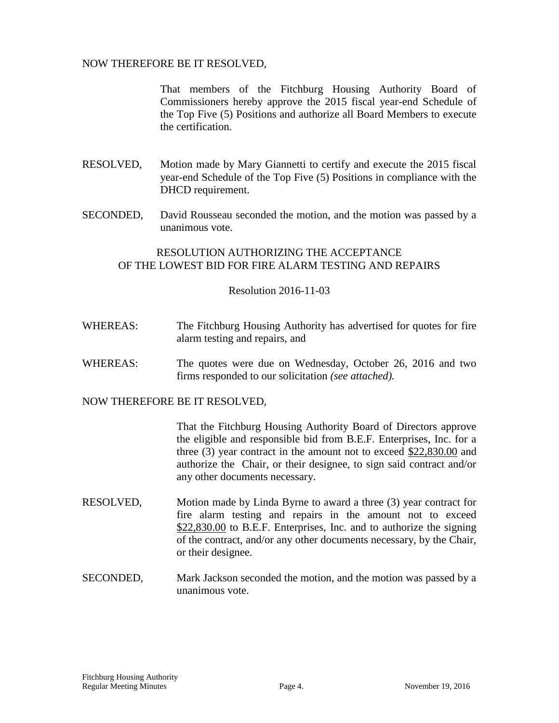### NOW THEREFORE BE IT RESOLVED,

That members of the Fitchburg Housing Authority Board of Commissioners hereby approve the 2015 fiscal year-end Schedule of the Top Five (5) Positions and authorize all Board Members to execute the certification.

- RESOLVED, Motion made by Mary Giannetti to certify and execute the 2015 fiscal year-end Schedule of the Top Five (5) Positions in compliance with the DHCD requirement.
- SECONDED, David Rousseau seconded the motion, and the motion was passed by a unanimous vote.

## RESOLUTION AUTHORIZING THE ACCEPTANCE OF THE LOWEST BID FOR FIRE ALARM TESTING AND REPAIRS

### Resolution 2016-11-03

- WHEREAS: The Fitchburg Housing Authority has advertised for quotes for fire alarm testing and repairs, and
- WHEREAS: The quotes were due on Wednesday, October 26, 2016 and two firms responded to our solicitation *(see attached).*

NOW THEREFORE BE IT RESOLVED,

That the Fitchburg Housing Authority Board of Directors approve the eligible and responsible bid from B.E.F. Enterprises, Inc. for a three  $(3)$  year contract in the amount not to exceed  $$22,830.00$  and authorize the Chair, or their designee, to sign said contract and/or any other documents necessary.

- RESOLVED, Motion made by Linda Byrne to award a three (3) year contract for fire alarm testing and repairs in the amount not to exceed \$22,830.00 to B.E.F. Enterprises, Inc. and to authorize the signing of the contract, and/or any other documents necessary, by the Chair, or their designee.
- SECONDED, Mark Jackson seconded the motion, and the motion was passed by a unanimous vote.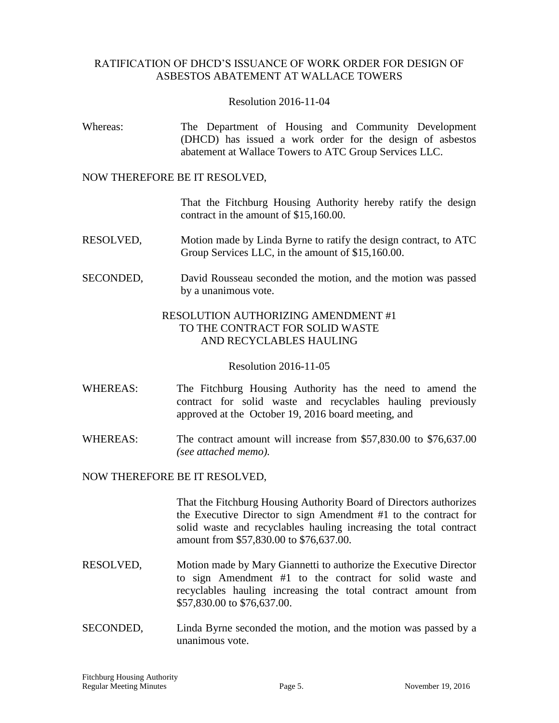## RATIFICATION OF DHCD'S ISSUANCE OF WORK ORDER FOR DESIGN OF ASBESTOS ABATEMENT AT WALLACE TOWERS

#### Resolution 2016-11-04

Whereas: The Department of Housing and Community Development (DHCD) has issued a work order for the design of asbestos abatement at Wallace Towers to ATC Group Services LLC.

#### NOW THEREFORE BE IT RESOLVED,

That the Fitchburg Housing Authority hereby ratify the design contract in the amount of \$15,160.00.

- RESOLVED, Motion made by Linda Byrne to ratify the design contract, to ATC Group Services LLC, in the amount of \$15,160.00.
- SECONDED, David Rousseau seconded the motion, and the motion was passed by a unanimous vote.

### RESOLUTION AUTHORIZING AMENDMENT #1 TO THE CONTRACT FOR SOLID WASTE AND RECYCLABLES HAULING

#### Resolution 2016-11-05

- WHEREAS: The Fitchburg Housing Authority has the need to amend the contract for solid waste and recyclables hauling previously approved at the October 19, 2016 board meeting, and
- WHEREAS: The contract amount will increase from \$57,830.00 to \$76,637.00 *(see attached memo).*

### NOW THEREFORE BE IT RESOLVED,

That the Fitchburg Housing Authority Board of Directors authorizes the Executive Director to sign Amendment #1 to the contract for solid waste and recyclables hauling increasing the total contract amount from \$57,830.00 to \$76,637.00.

- RESOLVED, Motion made by Mary Giannetti to authorize the Executive Director to sign Amendment #1 to the contract for solid waste and recyclables hauling increasing the total contract amount from \$57,830.00 to \$76,637.00.
- SECONDED, Linda Byrne seconded the motion, and the motion was passed by a unanimous vote.